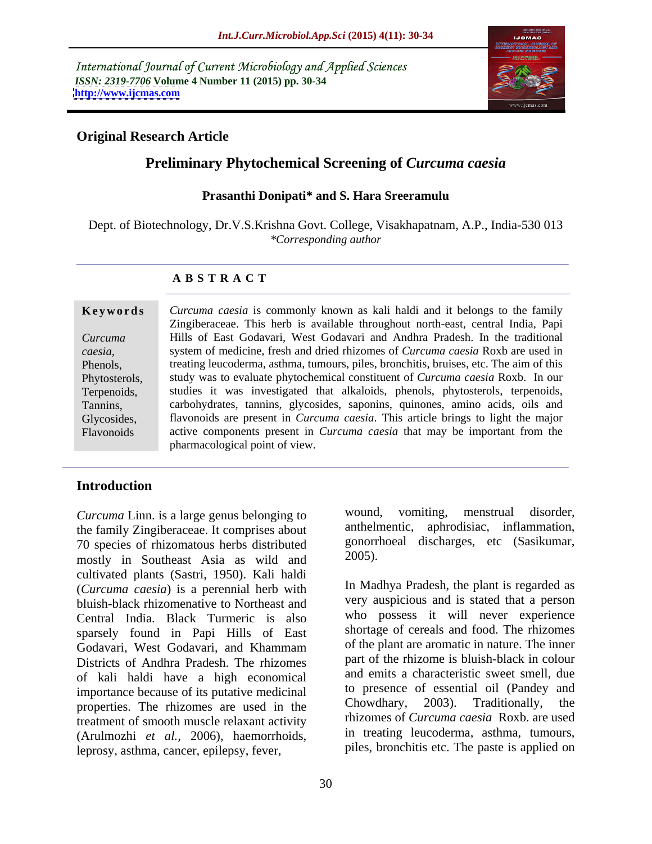International Journal of Current Microbiology and Applied Sciences *ISSN: 2319-7706* **Volume 4 Number 11 (2015) pp. 30-34 <http://www.ijcmas.com>**



# **Original Research Article**

# **Preliminary Phytochemical Screening of** *Curcuma caesia*

### **Prasanthi Donipati\* and S. Hara Sreeramulu**

Dept. of Biotechnology, Dr.V.S.Krishna Govt. College, Visakhapatnam, A.P., India-530 013 *\*Corresponding author*

### **A B S T R A C T**

Flavonoids

*Curcuma caesia* is commonly known as kali haldi and it belongs to the family **Ke ywo rds** Zingiberaceae. This herb is available throughout north-east, central India, Papi Hills of East Godavari, West Godavari and Andhra Pradesh. In the traditional *Curcuma*  system of medicine, fresh and dried rhizomes of *Curcuma caesia* Roxb are used in *caesia,* treating leucoderma, asthma, tumours, piles, bronchitis, bruises, etc. The aim of this Phenols, study was to evaluate phytochemical constituent of *Curcuma caesia* Roxb. In our Phytosterols, study was to evaluate phytochemical constituent of *Curcuma caesia* Roxb. In our<br>Terpenoids, studies it was investigated that alkaloids, phenols, phytosterols, terpenoids, carbohydrates, tannins, glycosides, saponins, quinones, amino acids, oils and Tannins, flavonoids are present in *Curcuma caesia*. This article brings to light the major Glycosides, active components present in *Curcuma caesia* that may be important from the pharmacological point of view.

# **Introduction**

the family Zingiberaceae. It comprises about 70 species of rhizomatous herbs distributed  $\frac{\text{gonor}}{\text{most}}$ <br>mostly in Southeast Asia as wild and  $\frac{2005}{\text{most}}$ . mostly in Southeast Asia as wild and cultivated plants (Sastri, 1950). Kali haldi (*Curcuma caesia*) is a perennial herb with bluish-black rhizomenative to Northeast and Central India. Black Turmeric is also sparsely found in Papi Hills of East Godavari, West Godavari, and Khammam of the plant are aromatic in nature. The inner Districts of Andhra Pradesh. The rhizomes of kali haldi have a high economical importance because of its putative medicinal to presence of essential oil (Pandey and properties. The rhizomes are used in the Chowdhary, 2003). Traditionally, the properties. The rhizomes are used in the treatment of smooth muscle relaxant activity (Arulmozhi *et al.,* 2006), haemorrhoids, leprosy, asthma, cancer, epilepsy, fever,

*Curcuma* Linn. is a large genus belonging to wound, vomiting, menstrual disorder, anthelmentic, aphrodisiac, inflammation, gonorrhoeal discharges, etc (Sasikumar, 2005).

> In Madhya Pradesh, the plant is regarded as very auspicious and is stated that a person who possess it will never experience shortage of cereals and food. The rhizomes of the plant are aromatic in nature. The inner part of the rhizome is bluish-black in colour and emits a characteristic sweet smell, due to presence of essential oil (Pandey and Chowdhary, 2003). Traditionally, the rhizomes of *Curcuma caesia* Roxb. are used in treating leucoderma, asthma, tumours, piles, bronchitis etc. The paste is applied on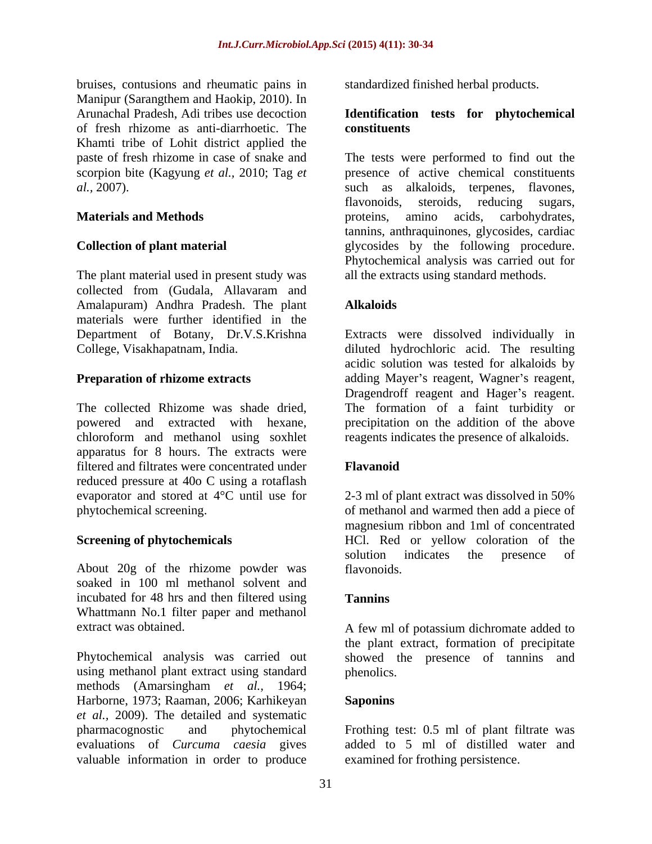bruises, contusions and rheumatic pains in Manipur (Sarangthem and Haokip, 2010). In Arunachal Pradesh, Adi tribes use decoction **Identification tests for phytochemical** of fresh rhizome as anti-diarrhoetic. The Khamti tribe of Lohit district applied the

The plant material used in present study was collected from (Gudala, Allavaram and Amalapuram) Andhra Pradesh. The plant materials were further identified in the Department of Botany, Dr.V.S.Krishna Extracts were dissolved individually in College, Visakhapatnam, India. diluted hydrochloric acid. The resulting

The collected Rhizome was shade dried, The formation of a faint turbidity or powered and extracted with hexane, precipitation on the addition of the above chloroform and methanol using soxhlet apparatus for 8 hours. The extracts were filtered and filtrates were concentrated under reduced pressure at 40o C using a rotaflash evaporator and stored at 4°C until use for 2-3 ml of plant extract was dissolved in 50% phytochemical screening. of methanol and warmed then add a piece of

About 20g of the rhizome powder was flavonoids. soaked in 100 ml methanol solvent and incubated for 48 hrs and then filtered using Tannins Whattmann No.1 filter paper and methanol

Phytochemical analysis was carried out showed the presence of tannins and using methanol plant extract using standard phenolics. methods (Amarsingham *et al.,* 1964; Harborne, 1973; Raaman, 2006; Karhikeyan *et al.,* 2009). The detailed and systematic pharmacognostic and phytochemical Frothing test: 0.5 ml of plant filtrate was evaluations of *Curcuma caesia* gives valuable information in order to produce

standardized finished herbal products.

# **constituents**

paste of fresh rhizome in case of snake and The tests were performed to find out the scorpion bite (Kagyung *et al.*, 2010; Tag *et* **presence** of active chemical constituents *al.,* 2007). such as alkaloids, terpenes, flavones, **Materials and Methods** proteins, amino acids, carbohydrates, **Collection of plant material** glycosides by the following procedure. flavonoids, steroids, reducing sugars, tannins, anthraquinones, glycosides, cardiac Phytochemical analysis was carried out for all the extracts using standard methods.

## **Alkaloids**

**Preparation of rhizome extracts** adding Mayer's reagent, Wagner's reagent, acidic solution was tested for alkaloids by Dragendroff reagent and Hager's reagent. reagents indicates the presence of alkaloids.

## **Flavanoid**

**Screening of phytochemicals** HCl. Red or yellow coloration of the magnesium ribbon and 1ml of concentrated solution indicates the presence of flavonoids.

### **Tannins**

extract was obtained. A few ml of potassium dichromate added to the plant extract, formation of precipitate phenolics.

### **Saponins**

added to 5 ml of distilled water and examined for frothing persistence.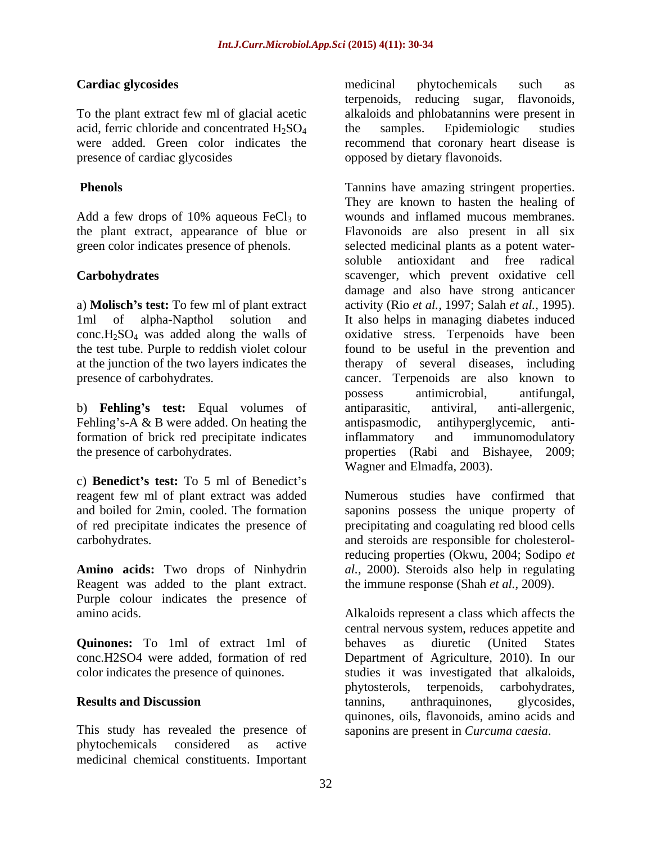acid, ferric chloride and concentrated  $H_2SO_4$  the samples. Epidemiologic studies<br>were added. Green color indicates the recommend that coronary heart disease is presence of cardiac glycosides opposed by dietary flavonoids.

Add a few drops of 10% aqueous  $FeCl<sub>3</sub>$  to

a) **Molisch s test:** To few ml of plant extract  $conc.H<sub>2</sub>SO<sub>4</sub>$  was added along the walls of the test tube. Purple to reddish violet colour

b) **Fehling's test:** Equal volumes of antiparasitic, antiviral, anti-allergenic, Fehling's-A & B were added. On heating the  $\qquad$  antispasmodic, antihyperglycemic, antiformation of brick red precipitate indicates inflammatory and immunomodulatory

c) **Benedict's test:** To 5 ml of Benedict's reagent few ml of plant extract was added

Reagent was added to the plant extract. Purple colour indicates the presence of

**Quinones:** To 1ml of extract 1ml of behaves as diuretic (United States

This study has revealed the presence of phytochemicals considered as active medicinal chemical constituents. Important

**Cardiac glycosides Cardiac glycosides Cardiac glycosides Cardiac glycosides Cardiac glycosides Cardiac glycosides Cardiac glycosides Cardiac glycosides Cardiac glycosides Cardiac glycosides Cardiac gly** To the plant extract few ml of glacial acetic alkaloids and phlobatannins were present in were added. Green color indicates the recommend that coronary heart disease is medicinal phytochemicals such as terpenoids, reducing sugar, flavonoids, the samples. Epidemiologic studies

**Phenols Conserverse Exercise Serverse Exercise** Tannins have amazing stringent properties. the plant extract, appearance of blue or Flavonoids are also present in all six green color indicates presence of phenols. selected medicinal plants as a potent water- **Carbohydrates** scavenger, which prevent oxidative cell 1ml of alpha-Napthol solution and It also helps in managing diabetes induced the test tube. Purple to reddish violet colour found to be useful in the prevention and at the junction of the two layers indicates the therapy of several diseases, including presence of carbohydrates. cancer. Terpenoids are also known to the presence of carbohydrates. properties (Rabi and Bishayee, 2009; They are known to hasten the healing of wounds and inflamed mucous membranes. soluble antioxidant and free radical damage and also have strong anticancer activity (Rio *et al.,* 1997; Salah *et al.,* 1995). oxidative stress. Terpenoids have been possess antimicrobial, antifungal, antiparasitic, antiviral, anti-allergenic, antihyperglycemic, inflammatory and immunomodulatory Wagner and Elmadfa, 2003).

and boiled for 2min, cooled. The formation saponins possess the unique property of of red precipitate indicates the presence of precipitating and coagulating red blood cells carbohydrates. and steroids are responsible for cholesterol-**Amino acids:** Two drops of Ninhydrin *al.,* 2000). Steroids also help in regulating Numerous studies have confirmed that reducing properties (Okwu, 2004; Sodipo *et*  the immune response (Shah *et al.,* 2009).

amino acids. Alkaloids represent a class which affects the conc.H2SO4 were added, formation of red Department of Agriculture, 2010). In our color indicates the presence of quinones. studies it was investigated that alkaloids, **Results and Discussion Example 3 EXECUSE 10 EXECUSE 10 EXECUSE 10 EXECUSE 10 EXECUSE 10 EXECUSE 10 EXECUSE 10 EXECUSE 10 EXECUSE 10 EXECUSE 10 EXECUSE 10 EXECUSE 10 EXECUSE 10 EXECUSE 10 EX** central nervous system, reduces appetite and behaves as diuretic (United States phytosterols, terpenoids, carbohydrates, tannins, anthraquinones, glycosides, quinones, oils, flavonoids, amino acids and saponins are present in *Curcuma caesia*.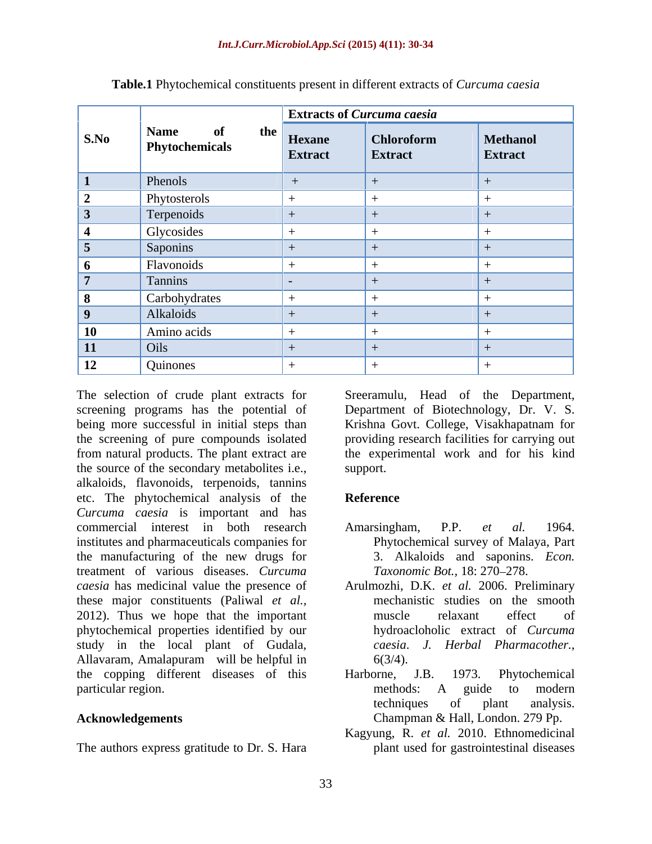| S.No            | <b>Name</b><br>of<br><b>Phytochemicals</b> |                                            | <b>Extracts of Curcuma caesia</b>   |                            |
|-----------------|--------------------------------------------|--------------------------------------------|-------------------------------------|----------------------------|
|                 |                                            | $\frac{1}{4}$ the Hexane<br><b>Extract</b> | <b>Chloroform</b><br><b>Extract</b> | Methanol<br><b>Extract</b> |
| $\mathbf{1}$    | Phenols                                    |                                            |                                     |                            |
| $\mathbf{2}$    | Phytosterols                               |                                            |                                     |                            |
| $\vert 3 \vert$ | Terpenoids                                 |                                            |                                     |                            |
| -4              | Glycosides                                 |                                            |                                     |                            |
| $\overline{5}$  | Saponins                                   |                                            |                                     |                            |
| $\mathbf{p}$    | Flavonoids                                 |                                            |                                     |                            |
| $\mathbf{r}$    | Tannins                                    |                                            |                                     |                            |
| $\vert 8 \vert$ | Carbohydrates                              |                                            |                                     |                            |
| 9               | Alkaloids                                  |                                            |                                     |                            |
| <b>10</b>       | Amino acids                                |                                            |                                     |                            |
| $\vert$ 11      | $\int$ Oils                                |                                            |                                     |                            |
| 12              | <b>Quinones</b>                            |                                            |                                     |                            |

**Table.1** Phytochemical constituents present in different extracts of *Curcuma caesia*

The selection of crude plant extracts for Sreeramulu, Head of the Department, screening programs has the potential of Department of Biotechnology, Dr. V. S. being more successful in initial steps than Krishna Govt. College, Visakhapatnam for the screening of pure compounds isolated providing research facilities for carrying out from natural products. The plant extract are the experimental work and for his kind the source of the secondary metabolites i.e., support. alkaloids, flavonoids, terpenoids, tannins etc. The phytochemical analysis of the *Curcuma caesia* is important and has commercial interest in both research Amarsingham, P.P. *et al.* 1964. institutes and pharmaceuticals companies for the manufacturing of the new drugs for treatment of various diseases. *Curcuma caesia* has medicinal value the presence of these major constituents (Paliwal *et al.,* 2012). Thus we hope that the important muscle relaxant effect of phytochemical properties identified by our study in the local plant of Gudala, Allavaram, Amalapuram will be helpful in the copping different diseases of this Harborne, J.B. 1973. Phytochemical particular region.

The authors express gratitude to Dr. S. Hara

support.

## **Reference**

- Amarsingham, P.P. *et al.* 1964. Phytochemical survey of Malaya, Part 3. Alkaloids and saponins. *Econ. Taxonomic Bot.,* 18: 270–278.
- Arulmozhi, D.K. *et al.* 2006. Preliminary mechanistic studies on the smooth muscle relaxant effect of hydroacloholic extract of *Curcuma caesia*. *J. Herbal Pharmacother.,*  $6(3/4)$ .
- **Acknowledgements**  Champman & Hall, London. 279 Pp. Harborne, J.B. 1973. Phytochemical methods: A guide to modern techniques of plant analysis.
	- Kagyung, R. *et al.* 2010. Ethnomedicinal plant used for gastrointestinal diseases